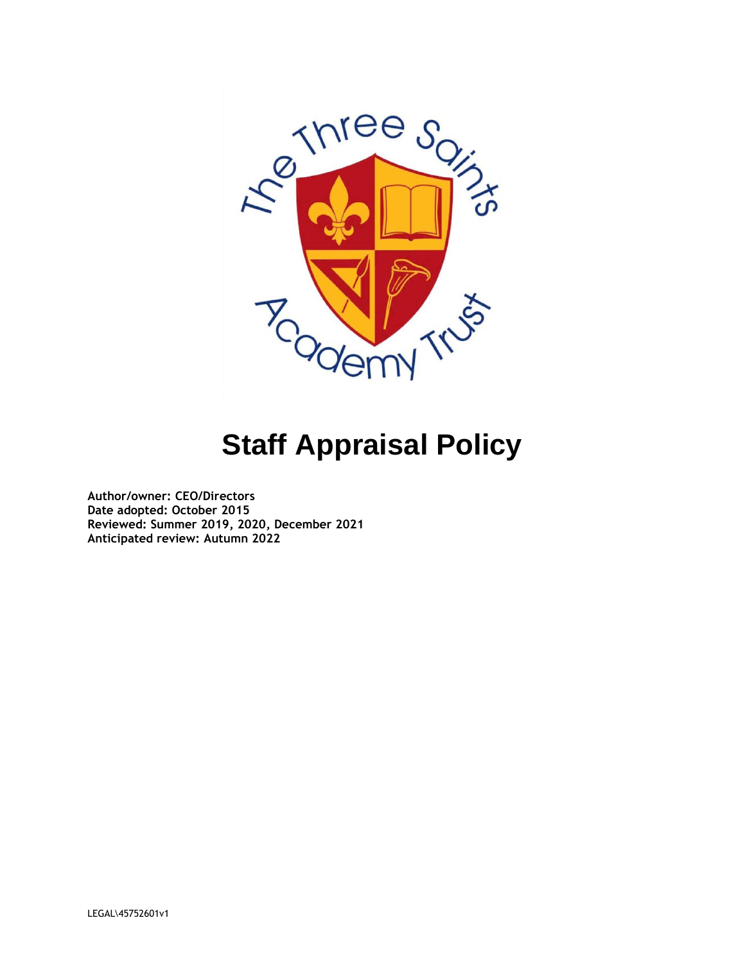

# **Staff Appraisal Policy**

**Author/owner: CEO/Directors Date adopted: October 2015 Reviewed: Summer 2019, 2020, December 2021 Anticipated review: Autumn 2022**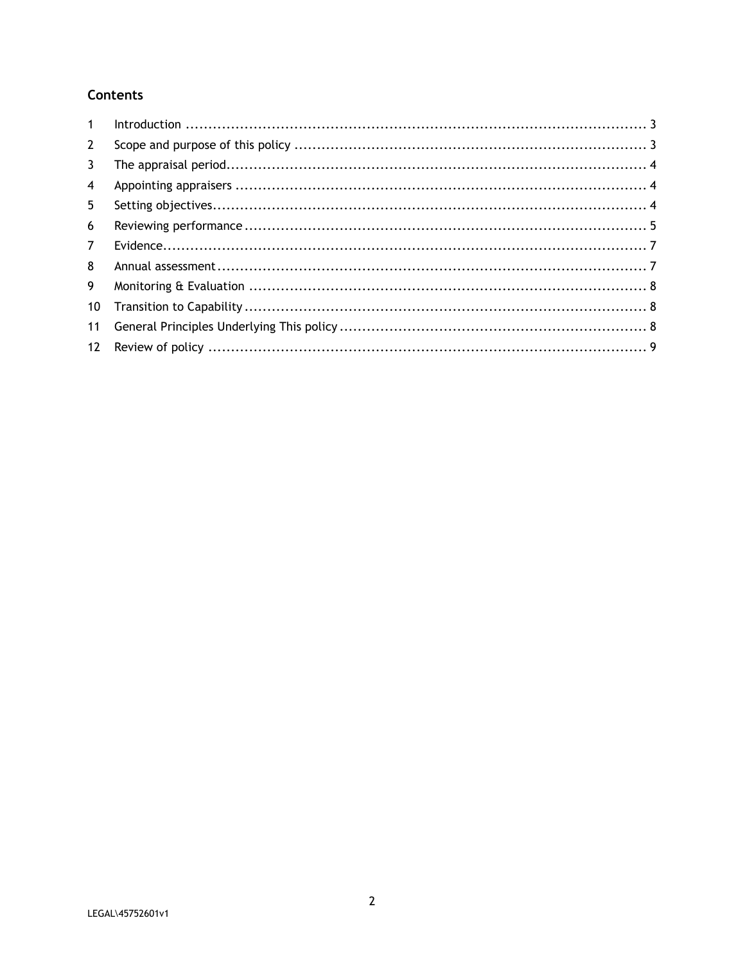# **Contents**

| $\mathbf{1}$   |  |
|----------------|--|
| $\mathbf{2}$   |  |
| 3              |  |
| 4              |  |
| 5 <sup>5</sup> |  |
| 6              |  |
| $\overline{7}$ |  |
| 8              |  |
| 9              |  |
| 10             |  |
| 11             |  |
|                |  |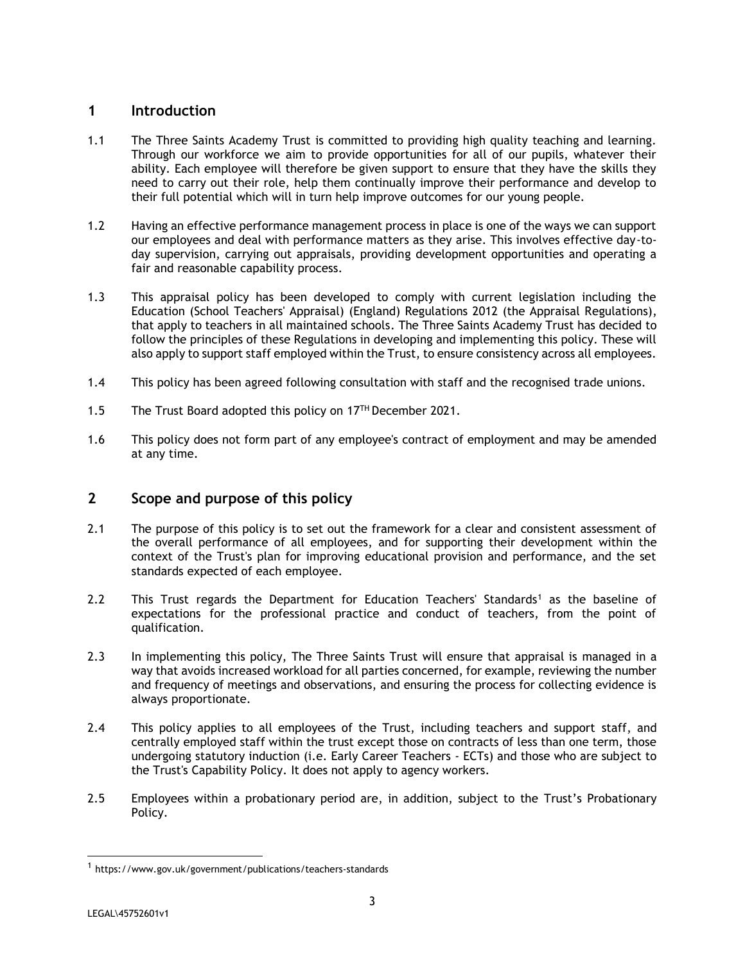# <span id="page-2-0"></span>**1 Introduction**

- 1.1 The Three Saints Academy Trust is committed to providing high quality teaching and learning. Through our workforce we aim to provide opportunities for all of our pupils, whatever their ability. Each employee will therefore be given support to ensure that they have the skills they need to carry out their role, help them continually improve their performance and develop to their full potential which will in turn help improve outcomes for our young people.
- 1.2 Having an effective performance management process in place is one of the ways we can support our employees and deal with performance matters as they arise. This involves effective day-today supervision, carrying out appraisals, providing development opportunities and operating a fair and reasonable capability process.
- 1.3 This appraisal policy has been developed to comply with current legislation including the Education (School Teachers' Appraisal) (England) Regulations 2012 (the Appraisal Regulations), that apply to teachers in all maintained schools. The Three Saints Academy Trust has decided to follow the principles of these Regulations in developing and implementing this policy. These will also apply to support staff employed within the Trust, to ensure consistency across all employees.
- 1.4 This policy has been agreed following consultation with staff and the recognised trade unions.
- 1.5 The Trust Board adopted this policy on 17<sup>TH</sup> December 2021.
- 1.6 This policy does not form part of any employee's contract of employment and may be amended at any time.

# <span id="page-2-1"></span>**2 Scope and purpose of this policy**

- 2.1 The purpose of this policy is to set out the framework for a clear and consistent assessment of the overall performance of all employees, and for supporting their development within the context of the Trust's plan for improving educational provision and performance, and the set standards expected of each employee.
- 2.2 This Trust regards the Department for Education Teachers' Standards<sup>1</sup> as the baseline of expectations for the professional practice and conduct of teachers, from the point of qualification.
- 2.3 In implementing this policy, The Three Saints Trust will ensure that appraisal is managed in a way that avoids increased workload for all parties concerned, for example, reviewing the number and frequency of meetings and observations, and ensuring the process for collecting evidence is always proportionate.
- 2.4 This policy applies to all employees of the Trust, including teachers and support staff, and centrally employed staff within the trust except those on contracts of less than one term, those undergoing statutory induction (i.e. Early Career Teachers - ECTs) and those who are subject to the Trust's Capability Policy. It does not apply to agency workers.
- 2.5 Employees within a probationary period are, in addition, subject to the Trust's Probationary Policy.

<sup>&</sup>lt;sup>1</sup> https://www.gov.uk/government/publications/teachers-standards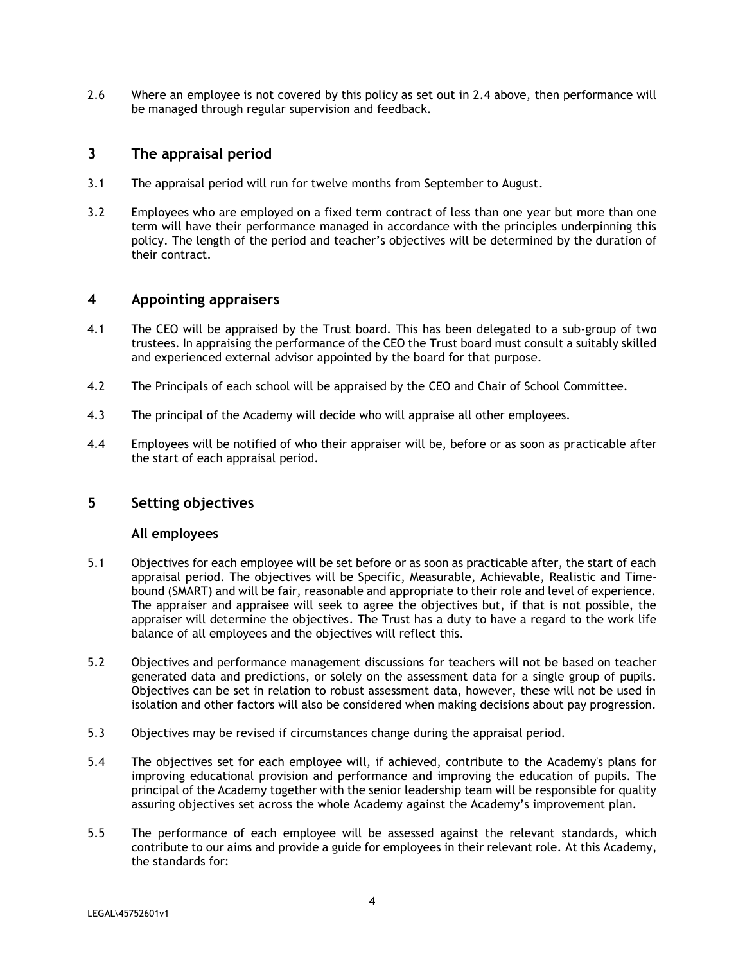2.6 Where an employee is not covered by this policy as set out in 2.4 above, then performance will be managed through regular supervision and feedback.

# <span id="page-3-0"></span>**3 The appraisal period**

- 3.1 The appraisal period will run for twelve months from September to August.
- 3.2 Employees who are employed on a fixed term contract of less than one year but more than one term will have their performance managed in accordance with the principles underpinning this policy. The length of the period and teacher's objectives will be determined by the duration of their contract.

# <span id="page-3-1"></span>**4 Appointing appraisers**

- 4.1 The CEO will be appraised by the Trust board. This has been delegated to a sub-group of two trustees. In appraising the performance of the CEO the Trust board must consult a suitably skilled and experienced external advisor appointed by the board for that purpose.
- 4.2 The Principals of each school will be appraised by the CEO and Chair of School Committee.
- 4.3 The principal of the Academy will decide who will appraise all other employees.
- 4.4 Employees will be notified of who their appraiser will be, before or as soon as practicable after the start of each appraisal period.

# <span id="page-3-2"></span>**5 Setting objectives**

#### **All employees**

- 5.1 Objectives for each employee will be set before or as soon as practicable after, the start of each appraisal period. The objectives will be Specific, Measurable, Achievable, Realistic and Timebound (SMART) and will be fair, reasonable and appropriate to their role and level of experience. The appraiser and appraisee will seek to agree the objectives but, if that is not possible, the appraiser will determine the objectives. The Trust has a duty to have a regard to the work life balance of all employees and the objectives will reflect this.
- 5.2 Objectives and performance management discussions for teachers will not be based on teacher generated data and predictions, or solely on the assessment data for a single group of pupils. Objectives can be set in relation to robust assessment data, however, these will not be used in isolation and other factors will also be considered when making decisions about pay progression.
- 5.3 Objectives may be revised if circumstances change during the appraisal period.
- 5.4 The objectives set for each employee will, if achieved, contribute to the Academy's plans for improving educational provision and performance and improving the education of pupils. The principal of the Academy together with the senior leadership team will be responsible for quality assuring objectives set across the whole Academy against the Academy's improvement plan.
- 5.5 The performance of each employee will be assessed against the relevant standards, which contribute to our aims and provide a guide for employees in their relevant role. At this Academy, the standards for: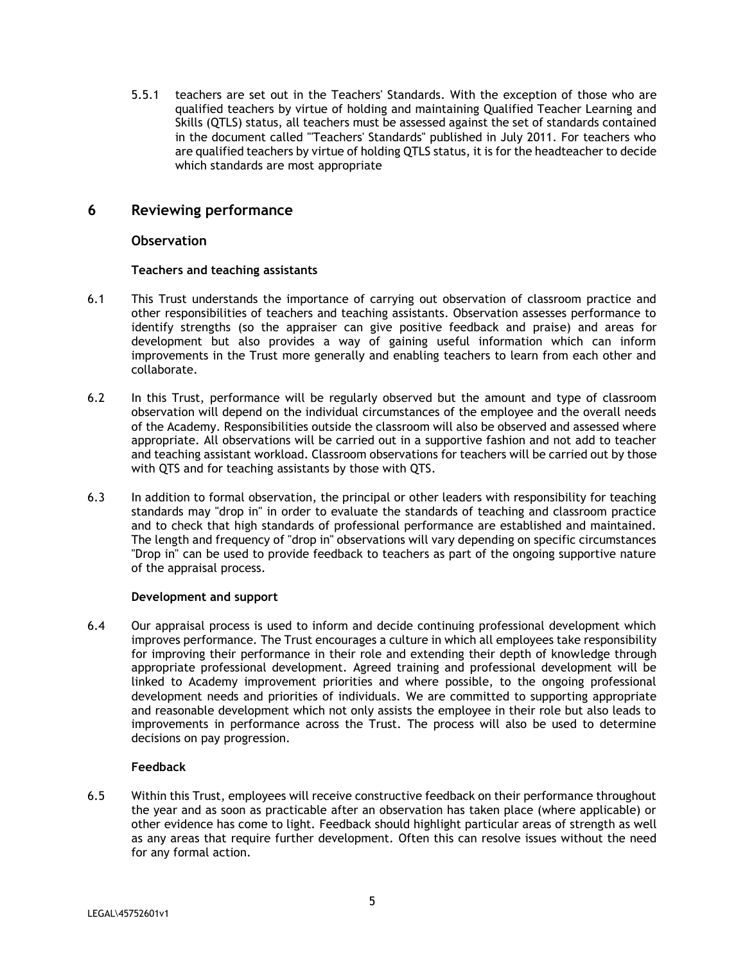5.5.1 teachers are set out in the Teachers' Standards. With the exception of those who are qualified teachers by virtue of holding and maintaining Qualified Teacher Learning and Skills (QTLS) status, all teachers must be assessed against the set of standards contained in the document called "'Teachers' Standards" published in July 2011. For teachers who are qualified teachers by virtue of holding QTLS status, it is for the headteacher to decide which standards are most appropriate

# <span id="page-4-0"></span>**6 Reviewing performance**

## **Observation**

## **Teachers and teaching assistants**

- 6.1 This Trust understands the importance of carrying out observation of classroom practice and other responsibilities of teachers and teaching assistants. Observation assesses performance to identify strengths (so the appraiser can give positive feedback and praise) and areas for development but also provides a way of gaining useful information which can inform improvements in the Trust more generally and enabling teachers to learn from each other and collaborate.
- 6.2 In this Trust, performance will be regularly observed but the amount and type of classroom observation will depend on the individual circumstances of the employee and the overall needs of the Academy. Responsibilities outside the classroom will also be observed and assessed where appropriate. All observations will be carried out in a supportive fashion and not add to teacher and teaching assistant workload. Classroom observations for teachers will be carried out by those with QTS and for teaching assistants by those with QTS.
- 6.3 In addition to formal observation, the principal or other leaders with responsibility for teaching standards may "drop in" in order to evaluate the standards of teaching and classroom practice and to check that high standards of professional performance are established and maintained. The length and frequency of "drop in" observations will vary depending on specific circumstances "Drop in" can be used to provide feedback to teachers as part of the ongoing supportive nature of the appraisal process.

## **Development and support**

6.4 Our appraisal process is used to inform and decide continuing professional development which improves performance. The Trust encourages a culture in which all employees take responsibility for improving their performance in their role and extending their depth of knowledge through appropriate professional development. Agreed training and professional development will be linked to Academy improvement priorities and where possible, to the ongoing professional development needs and priorities of individuals. We are committed to supporting appropriate and reasonable development which not only assists the employee in their role but also leads to improvements in performance across the Trust. The process will also be used to determine decisions on pay progression.

## **Feedback**

6.5 Within this Trust, employees will receive constructive feedback on their performance throughout the year and as soon as practicable after an observation has taken place (where applicable) or other evidence has come to light. Feedback should highlight particular areas of strength as well as any areas that require further development. Often this can resolve issues without the need for any formal action.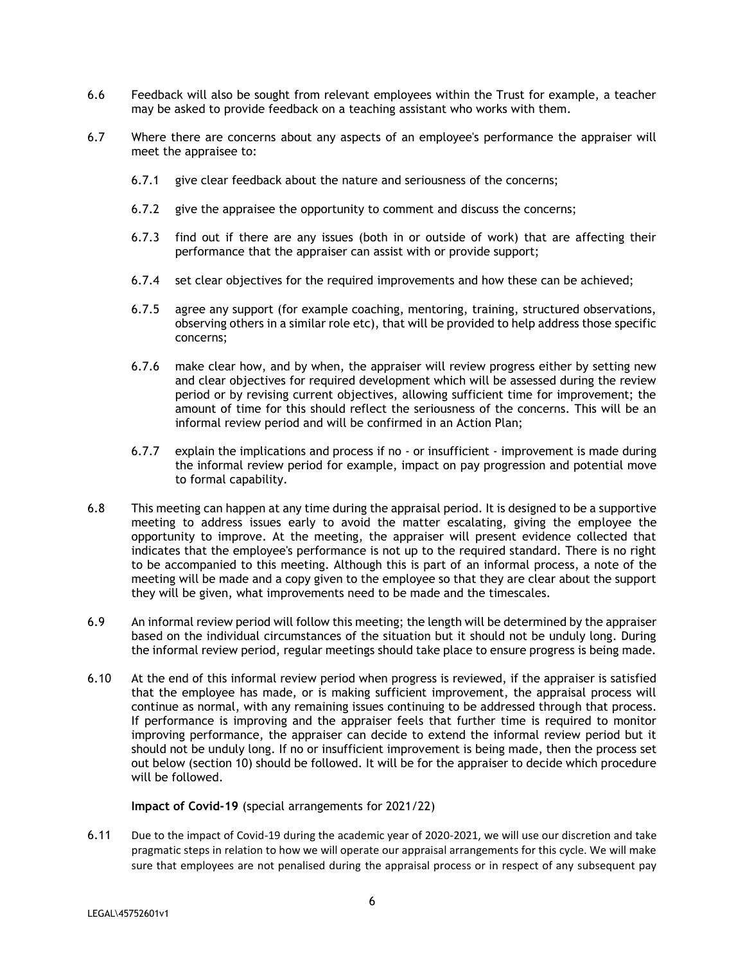- 6.6 Feedback will also be sought from relevant employees within the Trust for example, a teacher may be asked to provide feedback on a teaching assistant who works with them.
- 6.7 Where there are concerns about any aspects of an employee's performance the appraiser will meet the appraisee to:
	- 6.7.1 give clear feedback about the nature and seriousness of the concerns;
	- 6.7.2 give the appraisee the opportunity to comment and discuss the concerns;
	- 6.7.3 find out if there are any issues (both in or outside of work) that are affecting their performance that the appraiser can assist with or provide support;
	- 6.7.4 set clear objectives for the required improvements and how these can be achieved;
	- 6.7.5 agree any support (for example coaching, mentoring, training, structured observations, observing others in a similar role etc), that will be provided to help address those specific concerns;
	- 6.7.6 make clear how, and by when, the appraiser will review progress either by setting new and clear objectives for required development which will be assessed during the review period or by revising current objectives, allowing sufficient time for improvement; the amount of time for this should reflect the seriousness of the concerns. This will be an informal review period and will be confirmed in an Action Plan;
	- 6.7.7 explain the implications and process if no or insufficient improvement is made during the informal review period for example, impact on pay progression and potential move to formal capability.
- 6.8 This meeting can happen at any time during the appraisal period. It is designed to be a supportive meeting to address issues early to avoid the matter escalating, giving the employee the opportunity to improve. At the meeting, the appraiser will present evidence collected that indicates that the employee's performance is not up to the required standard. There is no right to be accompanied to this meeting. Although this is part of an informal process, a note of the meeting will be made and a copy given to the employee so that they are clear about the support they will be given, what improvements need to be made and the timescales.
- 6.9 An informal review period will follow this meeting; the length will be determined by the appraiser based on the individual circumstances of the situation but it should not be unduly long. During the informal review period, regular meetings should take place to ensure progress is being made.
- 6.10 At the end of this informal review period when progress is reviewed, if the appraiser is satisfied that the employee has made, or is making sufficient improvement, the appraisal process will continue as normal, with any remaining issues continuing to be addressed through that process. If performance is improving and the appraiser feels that further time is required to monitor improving performance, the appraiser can decide to extend the informal review period but it should not be unduly long. If no or insufficient improvement is being made, then the process set out below (section 10) should be followed. It will be for the appraiser to decide which procedure will be followed.

#### **Impact of Covid-19** (special arrangements for 2021/22)

6.11 Due to the impact of Covid-19 during the academic year of 2020-2021, we will use our discretion and take pragmatic steps in relation to how we will operate our appraisal arrangements for this cycle. We will make sure that employees are not penalised during the appraisal process or in respect of any subsequent pay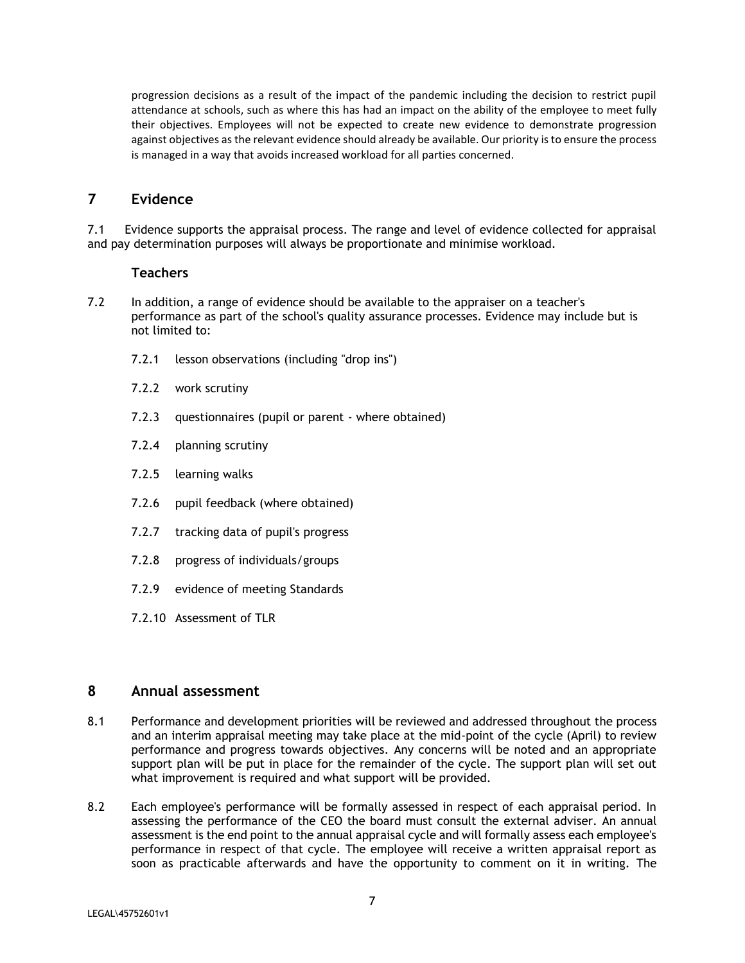progression decisions as a result of the impact of the pandemic including the decision to restrict pupil attendance at schools, such as where this has had an impact on the ability of the employee to meet fully their objectives. Employees will not be expected to create new evidence to demonstrate progression against objectives as the relevant evidence should already be available. Our priority is to ensure the process is managed in a way that avoids increased workload for all parties concerned.

# <span id="page-6-0"></span>**7 Evidence**

7.1 Evidence supports the appraisal process. The range and level of evidence collected for appraisal and pay determination purposes will always be proportionate and minimise workload.

#### **Teachers**

- 7.2 In addition, a range of evidence should be available to the appraiser on a teacher's performance as part of the school's quality assurance processes. Evidence may include but is not limited to:
	- 7.2.1 lesson observations (including "drop ins")
	- 7.2.2 work scrutiny
	- 7.2.3 questionnaires (pupil or parent where obtained)
	- 7.2.4 planning scrutiny
	- 7.2.5 learning walks
	- 7.2.6 pupil feedback (where obtained)
	- 7.2.7 tracking data of pupil's progress
	- 7.2.8 progress of individuals/groups
	- 7.2.9 evidence of meeting Standards
	- 7.2.10 Assessment of TLR

## <span id="page-6-1"></span>**8 Annual assessment**

- 8.1 Performance and development priorities will be reviewed and addressed throughout the process and an interim appraisal meeting may take place at the mid-point of the cycle (April) to review performance and progress towards objectives. Any concerns will be noted and an appropriate support plan will be put in place for the remainder of the cycle. The support plan will set out what improvement is required and what support will be provided.
- 8.2 Each employee's performance will be formally assessed in respect of each appraisal period. In assessing the performance of the CEO the board must consult the external adviser. An annual assessment is the end point to the annual appraisal cycle and will formally assess each employee's performance in respect of that cycle. The employee will receive a written appraisal report as soon as practicable afterwards and have the opportunity to comment on it in writing. The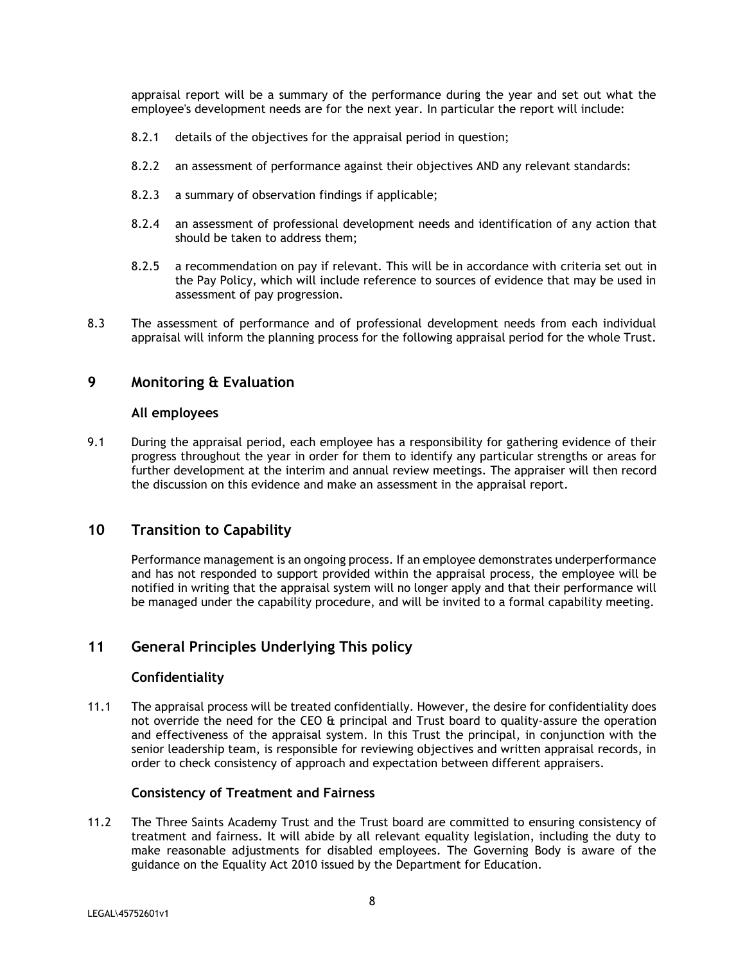appraisal report will be a summary of the performance during the year and set out what the employee's development needs are for the next year. In particular the report will include:

- 8.2.1 details of the objectives for the appraisal period in question;
- 8.2.2 an assessment of performance against their objectives AND any relevant standards:
- 8.2.3 a summary of observation findings if applicable;
- 8.2.4 an assessment of professional development needs and identification of any action that should be taken to address them;
- 8.2.5 a recommendation on pay if relevant. This will be in accordance with criteria set out in the Pay Policy, which will include reference to sources of evidence that may be used in assessment of pay progression.
- 8.3 The assessment of performance and of professional development needs from each individual appraisal will inform the planning process for the following appraisal period for the whole Trust.

# <span id="page-7-0"></span>**9 Monitoring & Evaluation**

#### **All employees**

9.1 During the appraisal period, each employee has a responsibility for gathering evidence of their progress throughout the year in order for them to identify any particular strengths or areas for further development at the interim and annual review meetings. The appraiser will then record the discussion on this evidence and make an assessment in the appraisal report.

# <span id="page-7-1"></span>**10 Transition to Capability**

Performance management is an ongoing process. If an employee demonstrates underperformance and has not responded to support provided within the appraisal process, the employee will be notified in writing that the appraisal system will no longer apply and that their performance will be managed under the capability procedure, and will be invited to a formal capability meeting.

# <span id="page-7-2"></span>**11 General Principles Underlying This policy**

## **Confidentiality**

11.1 The appraisal process will be treated confidentially. However, the desire for confidentiality does not override the need for the CEO & principal and Trust board to quality-assure the operation and effectiveness of the appraisal system. In this Trust the principal, in conjunction with the senior leadership team, is responsible for reviewing objectives and written appraisal records, in order to check consistency of approach and expectation between different appraisers.

## **Consistency of Treatment and Fairness**

11.2 The Three Saints Academy Trust and the Trust board are committed to ensuring consistency of treatment and fairness. It will abide by all relevant equality legislation, including the duty to make reasonable adjustments for disabled employees. The Governing Body is aware of the guidance on the Equality Act 2010 issued by the Department for Education.